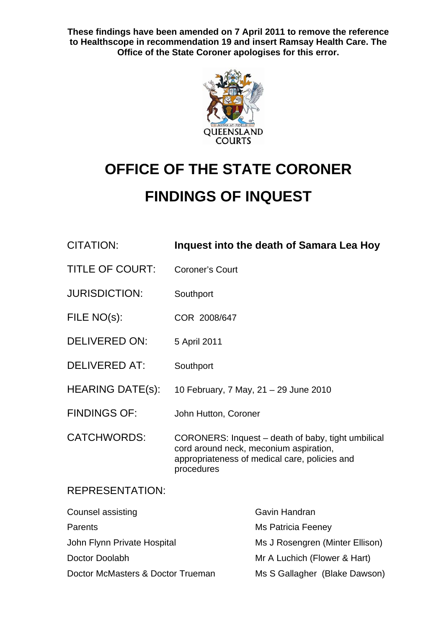**These findings have been amended on 7 April 2011 to remove the reference to Healthscope in recommendation 19 and insert Ramsay Health Care. The Office of the State Coroner apologises for this error.** 



# **OFFICE OF THE STATE CORONER FINDINGS OF INQUEST**

| <b>CITATION:</b>                  | Inquest into the death of Samara Lea Hoy                                                                                                                    |                                 |
|-----------------------------------|-------------------------------------------------------------------------------------------------------------------------------------------------------------|---------------------------------|
| <b>TITLE OF COURT:</b>            | <b>Coroner's Court</b>                                                                                                                                      |                                 |
| <b>JURISDICTION:</b>              | Southport                                                                                                                                                   |                                 |
| FILE NO(s):                       | COR 2008/647                                                                                                                                                |                                 |
| <b>DELIVERED ON:</b>              | 5 April 2011                                                                                                                                                |                                 |
| <b>DELIVERED AT:</b>              | Southport                                                                                                                                                   |                                 |
| <b>HEARING DATE(s):</b>           | 10 February, 7 May, 21 - 29 June 2010                                                                                                                       |                                 |
| <b>FINDINGS OF:</b>               | John Hutton, Coroner                                                                                                                                        |                                 |
| <b>CATCHWORDS:</b>                | CORONERS: Inquest – death of baby, tight umbilical<br>cord around neck, meconium aspiration,<br>appropriateness of medical care, policies and<br>procedures |                                 |
| <b>REPRESENTATION:</b>            |                                                                                                                                                             |                                 |
| <b>Counsel assisting</b>          |                                                                                                                                                             | Gavin Handran                   |
| Parents                           |                                                                                                                                                             | <b>Ms Patricia Feeney</b>       |
| John Flynn Private Hospital       |                                                                                                                                                             | Ms J Rosengren (Minter Ellison) |
| Doctor Doolabh                    |                                                                                                                                                             | Mr A Luchich (Flower & Hart)    |
| Doctor McMasters & Doctor Trueman |                                                                                                                                                             | Ms S Gallagher (Blake Dawson)   |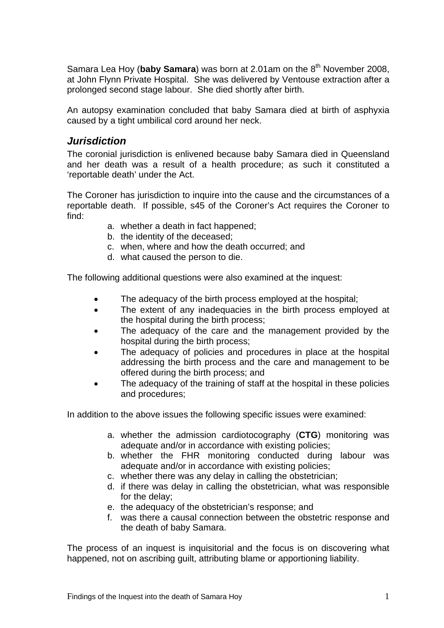Samara Lea Hoy (baby Samara) was born at 2.01am on the 8<sup>th</sup> November 2008. at John Flynn Private Hospital. She was delivered by Ventouse extraction after a prolonged second stage labour. She died shortly after birth.

An autopsy examination concluded that baby Samara died at birth of asphyxia caused by a tight umbilical cord around her neck.

## *Jurisdiction*

The coronial jurisdiction is enlivened because baby Samara died in Queensland and her death was a result of a health procedure; as such it constituted a 'reportable death' under the Act.

The Coroner has jurisdiction to inquire into the cause and the circumstances of a reportable death. If possible, s45 of the Coroner's Act requires the Coroner to find:

- a. whether a death in fact happened;
- b. the identity of the deceased;
- c. when, where and how the death occurred; and
- d. what caused the person to die.

The following additional questions were also examined at the inquest:

- The adequacy of the birth process employed at the hospital;
- The extent of any inadequacies in the birth process employed at the hospital during the birth process;
- The adequacy of the care and the management provided by the hospital during the birth process;
- The adequacy of policies and procedures in place at the hospital addressing the birth process and the care and management to be offered during the birth process; and
- The adequacy of the training of staff at the hospital in these policies and procedures;

In addition to the above issues the following specific issues were examined:

- a. whether the admission cardiotocography (**CTG**) monitoring was adequate and/or in accordance with existing policies;
- b. whether the FHR monitoring conducted during labour was adequate and/or in accordance with existing policies;
- c. whether there was any delay in calling the obstetrician;
- d. if there was delay in calling the obstetrician, what was responsible for the delay;
- e. the adequacy of the obstetrician's response; and
- f. was there a causal connection between the obstetric response and the death of baby Samara.

The process of an inquest is inquisitorial and the focus is on discovering what happened, not on ascribing guilt, attributing blame or apportioning liability.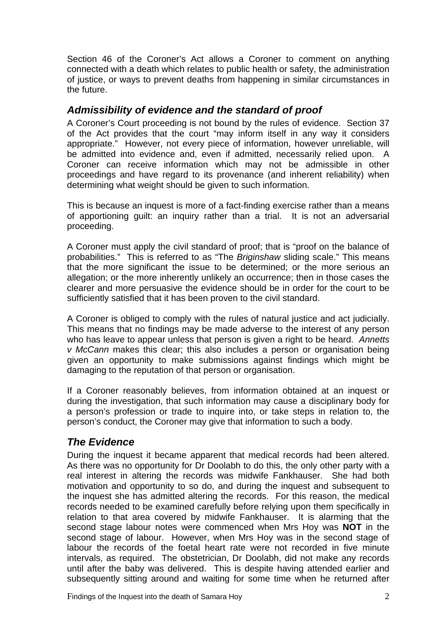Section 46 of the Coroner's Act allows a Coroner to comment on anything connected with a death which relates to public health or safety, the administration of justice, or ways to prevent deaths from happening in similar circumstances in the future.

# *Admissibility of evidence and the standard of proof*

A Coroner's Court proceeding is not bound by the rules of evidence. Section 37 of the Act provides that the court "may inform itself in any way it considers appropriate." However, not every piece of information, however unreliable, will be admitted into evidence and, even if admitted, necessarily relied upon. A Coroner can receive information which may not be admissible in other proceedings and have regard to its provenance (and inherent reliability) when determining what weight should be given to such information.

This is because an inquest is more of a fact-finding exercise rather than a means of apportioning guilt: an inquiry rather than a trial. It is not an adversarial proceeding.

A Coroner must apply the civil standard of proof; that is "proof on the balance of probabilities." This is referred to as "The *Briginshaw* sliding scale." This means that the more significant the issue to be determined; or the more serious an allegation; or the more inherently unlikely an occurrence; then in those cases the clearer and more persuasive the evidence should be in order for the court to be sufficiently satisfied that it has been proven to the civil standard.

A Coroner is obliged to comply with the rules of natural justice and act judicially. This means that no findings may be made adverse to the interest of any person who has leave to appear unless that person is given a right to be heard. *Annetts v McCann* makes this clear; this also includes a person or organisation being given an opportunity to make submissions against findings which might be damaging to the reputation of that person or organisation.

If a Coroner reasonably believes, from information obtained at an inquest or during the investigation, that such information may cause a disciplinary body for a person's profession or trade to inquire into, or take steps in relation to, the person's conduct, the Coroner may give that information to such a body.

# *The Evidence*

During the inquest it became apparent that medical records had been altered. As there was no opportunity for Dr Doolabh to do this, the only other party with a real interest in altering the records was midwife Fankhauser. She had both motivation and opportunity to so do, and during the inquest and subsequent to the inquest she has admitted altering the records. For this reason, the medical records needed to be examined carefully before relying upon them specifically in relation to that area covered by midwife Fankhauser. It is alarming that the second stage labour notes were commenced when Mrs Hoy was **NOT** in the second stage of labour. However, when Mrs Hoy was in the second stage of labour the records of the foetal heart rate were not recorded in five minute intervals, as required. The obstetrician, Dr Doolabh, did not make any records until after the baby was delivered. This is despite having attended earlier and subsequently sitting around and waiting for some time when he returned after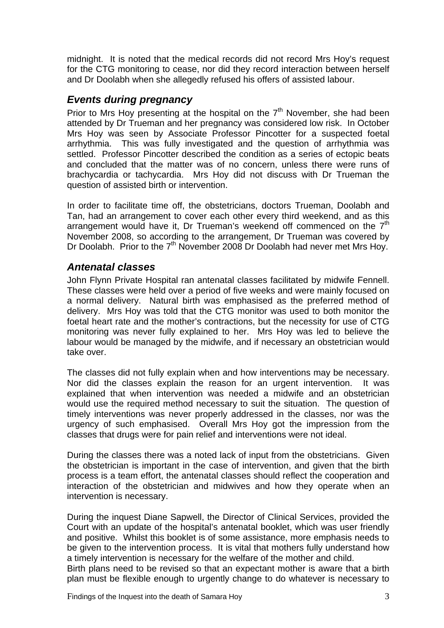midnight. It is noted that the medical records did not record Mrs Hoy's request for the CTG monitoring to cease, nor did they record interaction between herself and Dr Doolabh when she allegedly refused his offers of assisted labour.

# *Events during pregnancy*

Prior to Mrs Hoy presenting at the hospital on the  $7<sup>th</sup>$  November, she had been attended by Dr Trueman and her pregnancy was considered low risk. In October Mrs Hoy was seen by Associate Professor Pincotter for a suspected foetal arrhythmia. This was fully investigated and the question of arrhythmia was settled. Professor Pincotter described the condition as a series of ectopic beats and concluded that the matter was of no concern, unless there were runs of brachycardia or tachycardia. Mrs Hoy did not discuss with Dr Trueman the question of assisted birth or intervention.

In order to facilitate time off, the obstetricians, doctors Trueman, Doolabh and Tan, had an arrangement to cover each other every third weekend, and as this arrangement would have it, Dr Trueman's weekend off commenced on the  $7<sup>th</sup>$ November 2008, so according to the arrangement, Dr Trueman was covered by Dr Doolabh. Prior to the  $7<sup>th</sup>$  November 2008 Dr Doolabh had never met Mrs Hoy.

## *Antenatal classes*

John Flynn Private Hospital ran antenatal classes facilitated by midwife Fennell. These classes were held over a period of five weeks and were mainly focused on a normal delivery. Natural birth was emphasised as the preferred method of delivery. Mrs Hoy was told that the CTG monitor was used to both monitor the foetal heart rate and the mother's contractions, but the necessity for use of CTG monitoring was never fully explained to her. Mrs Hoy was led to believe the labour would be managed by the midwife, and if necessary an obstetrician would take over.

The classes did not fully explain when and how interventions may be necessary. Nor did the classes explain the reason for an urgent intervention. It was explained that when intervention was needed a midwife and an obstetrician would use the required method necessary to suit the situation. The question of timely interventions was never properly addressed in the classes, nor was the urgency of such emphasised. Overall Mrs Hoy got the impression from the classes that drugs were for pain relief and interventions were not ideal.

During the classes there was a noted lack of input from the obstetricians. Given the obstetrician is important in the case of intervention, and given that the birth process is a team effort, the antenatal classes should reflect the cooperation and interaction of the obstetrician and midwives and how they operate when an intervention is necessary.

During the inquest Diane Sapwell, the Director of Clinical Services, provided the Court with an update of the hospital's antenatal booklet, which was user friendly and positive. Whilst this booklet is of some assistance, more emphasis needs to be given to the intervention process. It is vital that mothers fully understand how a timely intervention is necessary for the welfare of the mother and child.

Birth plans need to be revised so that an expectant mother is aware that a birth plan must be flexible enough to urgently change to do whatever is necessary to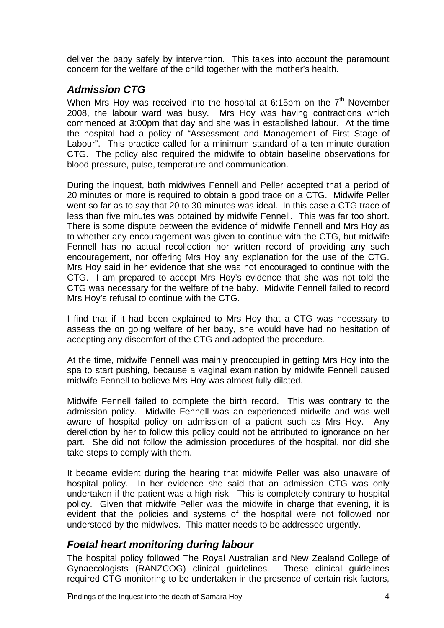deliver the baby safely by intervention. This takes into account the paramount concern for the welfare of the child together with the mother's health.

# *Admission CTG*

When Mrs Hoy was received into the hospital at 6:15pm on the  $7<sup>th</sup>$  November 2008, the labour ward was busy. Mrs Hoy was having contractions which commenced at 3:00pm that day and she was in established labour. At the time the hospital had a policy of "Assessment and Management of First Stage of Labour". This practice called for a minimum standard of a ten minute duration CTG. The policy also required the midwife to obtain baseline observations for blood pressure, pulse, temperature and communication.

During the inquest, both midwives Fennell and Peller accepted that a period of 20 minutes or more is required to obtain a good trace on a CTG. Midwife Peller went so far as to say that 20 to 30 minutes was ideal. In this case a CTG trace of less than five minutes was obtained by midwife Fennell. This was far too short. There is some dispute between the evidence of midwife Fennell and Mrs Hoy as to whether any encouragement was given to continue with the CTG, but midwife Fennell has no actual recollection nor written record of providing any such encouragement, nor offering Mrs Hoy any explanation for the use of the CTG. Mrs Hoy said in her evidence that she was not encouraged to continue with the CTG. I am prepared to accept Mrs Hoy's evidence that she was not told the CTG was necessary for the welfare of the baby. Midwife Fennell failed to record Mrs Hoy's refusal to continue with the CTG.

I find that if it had been explained to Mrs Hoy that a CTG was necessary to assess the on going welfare of her baby, she would have had no hesitation of accepting any discomfort of the CTG and adopted the procedure.

At the time, midwife Fennell was mainly preoccupied in getting Mrs Hoy into the spa to start pushing, because a vaginal examination by midwife Fennell caused midwife Fennell to believe Mrs Hoy was almost fully dilated.

Midwife Fennell failed to complete the birth record. This was contrary to the admission policy. Midwife Fennell was an experienced midwife and was well aware of hospital policy on admission of a patient such as Mrs Hoy. Any dereliction by her to follow this policy could not be attributed to ignorance on her part. She did not follow the admission procedures of the hospital, nor did she take steps to comply with them.

It became evident during the hearing that midwife Peller was also unaware of hospital policy. In her evidence she said that an admission CTG was only undertaken if the patient was a high risk. This is completely contrary to hospital policy. Given that midwife Peller was the midwife in charge that evening, it is evident that the policies and systems of the hospital were not followed nor understood by the midwives. This matter needs to be addressed urgently.

# *Foetal heart monitoring during labour*

The hospital policy followed The Royal Australian and New Zealand College of Gynaecologists (RANZCOG) clinical guidelines. These clinical guidelines required CTG monitoring to be undertaken in the presence of certain risk factors,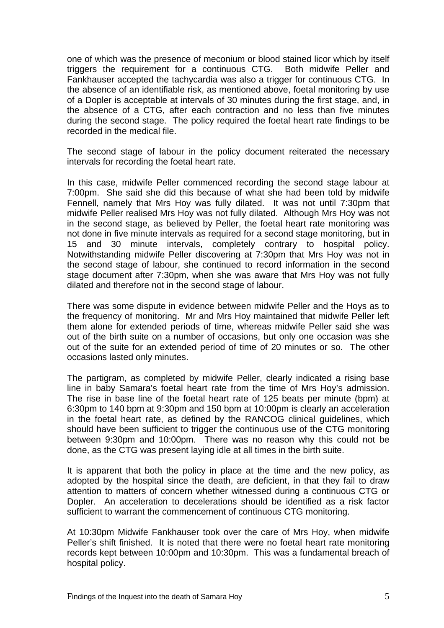one of which was the presence of meconium or blood stained licor which by itself triggers the requirement for a continuous CTG. Both midwife Peller and Fankhauser accepted the tachycardia was also a trigger for continuous CTG. In the absence of an identifiable risk, as mentioned above, foetal monitoring by use of a Dopler is acceptable at intervals of 30 minutes during the first stage, and, in the absence of a CTG, after each contraction and no less than five minutes during the second stage. The policy required the foetal heart rate findings to be recorded in the medical file.

The second stage of labour in the policy document reiterated the necessary intervals for recording the foetal heart rate.

In this case, midwife Peller commenced recording the second stage labour at 7:00pm. She said she did this because of what she had been told by midwife Fennell, namely that Mrs Hoy was fully dilated. It was not until 7:30pm that midwife Peller realised Mrs Hoy was not fully dilated. Although Mrs Hoy was not in the second stage, as believed by Peller, the foetal heart rate monitoring was not done in five minute intervals as required for a second stage monitoring, but in 15 and 30 minute intervals, completely contrary to hospital policy. Notwithstanding midwife Peller discovering at 7:30pm that Mrs Hoy was not in the second stage of labour, she continued to record information in the second stage document after 7:30pm, when she was aware that Mrs Hoy was not fully dilated and therefore not in the second stage of labour.

There was some dispute in evidence between midwife Peller and the Hoys as to the frequency of monitoring. Mr and Mrs Hoy maintained that midwife Peller left them alone for extended periods of time, whereas midwife Peller said she was out of the birth suite on a number of occasions, but only one occasion was she out of the suite for an extended period of time of 20 minutes or so. The other occasions lasted only minutes.

The partigram, as completed by midwife Peller, clearly indicated a rising base line in baby Samara's foetal heart rate from the time of Mrs Hoy's admission. The rise in base line of the foetal heart rate of 125 beats per minute (bpm) at 6:30pm to 140 bpm at 9:30pm and 150 bpm at 10:00pm is clearly an acceleration in the foetal heart rate, as defined by the RANCOG clinical guidelines, which should have been sufficient to trigger the continuous use of the CTG monitoring between 9:30pm and 10:00pm. There was no reason why this could not be done, as the CTG was present laying idle at all times in the birth suite.

It is apparent that both the policy in place at the time and the new policy, as adopted by the hospital since the death, are deficient, in that they fail to draw attention to matters of concern whether witnessed during a continuous CTG or Dopler. An acceleration to decelerations should be identified as a risk factor sufficient to warrant the commencement of continuous CTG monitoring.

At 10:30pm Midwife Fankhauser took over the care of Mrs Hoy, when midwife Peller's shift finished. It is noted that there were no foetal heart rate monitoring records kept between 10:00pm and 10:30pm. This was a fundamental breach of hospital policy.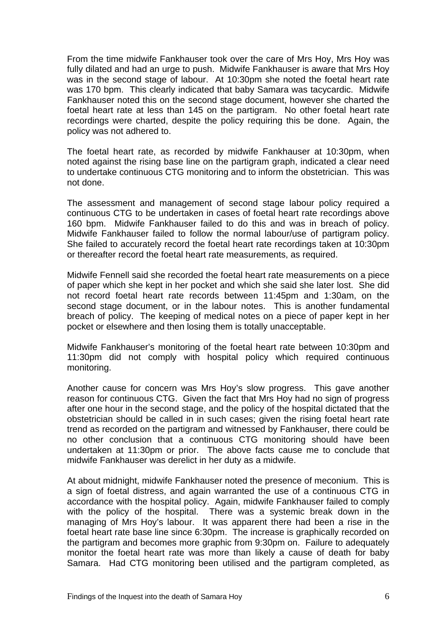From the time midwife Fankhauser took over the care of Mrs Hoy, Mrs Hoy was fully dilated and had an urge to push. Midwife Fankhauser is aware that Mrs Hoy was in the second stage of labour. At 10:30pm she noted the foetal heart rate was 170 bpm. This clearly indicated that baby Samara was tacycardic. Midwife Fankhauser noted this on the second stage document, however she charted the foetal heart rate at less than 145 on the partigram. No other foetal heart rate recordings were charted, despite the policy requiring this be done. Again, the policy was not adhered to.

The foetal heart rate, as recorded by midwife Fankhauser at 10:30pm, when noted against the rising base line on the partigram graph, indicated a clear need to undertake continuous CTG monitoring and to inform the obstetrician. This was not done.

The assessment and management of second stage labour policy required a continuous CTG to be undertaken in cases of foetal heart rate recordings above 160 bpm. Midwife Fankhauser failed to do this and was in breach of policy. Midwife Fankhauser failed to follow the normal labour/use of partigram policy. She failed to accurately record the foetal heart rate recordings taken at 10:30pm or thereafter record the foetal heart rate measurements, as required.

Midwife Fennell said she recorded the foetal heart rate measurements on a piece of paper which she kept in her pocket and which she said she later lost. She did not record foetal heart rate records between 11:45pm and 1:30am, on the second stage document, or in the labour notes. This is another fundamental breach of policy. The keeping of medical notes on a piece of paper kept in her pocket or elsewhere and then losing them is totally unacceptable.

Midwife Fankhauser's monitoring of the foetal heart rate between 10:30pm and 11:30pm did not comply with hospital policy which required continuous monitoring.

Another cause for concern was Mrs Hoy's slow progress. This gave another reason for continuous CTG. Given the fact that Mrs Hoy had no sign of progress after one hour in the second stage, and the policy of the hospital dictated that the obstetrician should be called in in such cases; given the rising foetal heart rate trend as recorded on the partigram and witnessed by Fankhauser, there could be no other conclusion that a continuous CTG monitoring should have been undertaken at 11:30pm or prior. The above facts cause me to conclude that midwife Fankhauser was derelict in her duty as a midwife.

At about midnight, midwife Fankhauser noted the presence of meconium. This is a sign of foetal distress, and again warranted the use of a continuous CTG in accordance with the hospital policy. Again, midwife Fankhauser failed to comply with the policy of the hospital. There was a systemic break down in the managing of Mrs Hoy's labour. It was apparent there had been a rise in the foetal heart rate base line since 6:30pm. The increase is graphically recorded on the partigram and becomes more graphic from 9:30pm on. Failure to adequately monitor the foetal heart rate was more than likely a cause of death for baby Samara. Had CTG monitoring been utilised and the partigram completed, as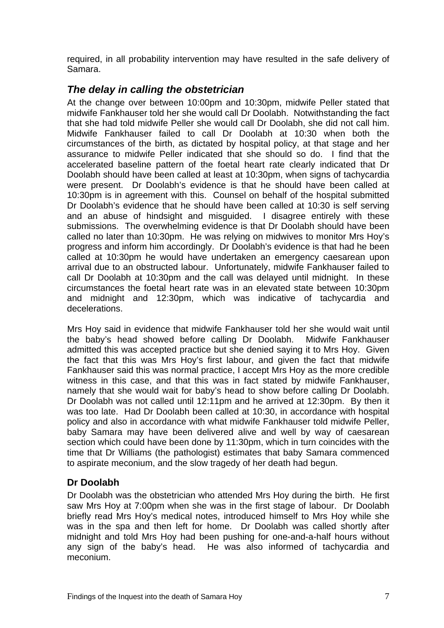required, in all probability intervention may have resulted in the safe delivery of Samara.

# *The delay in calling the obstetrician*

At the change over between 10:00pm and 10:30pm, midwife Peller stated that midwife Fankhauser told her she would call Dr Doolabh. Notwithstanding the fact that she had told midwife Peller she would call Dr Doolabh, she did not call him. Midwife Fankhauser failed to call Dr Doolabh at 10:30 when both the circumstances of the birth, as dictated by hospital policy, at that stage and her assurance to midwife Peller indicated that she should so do. I find that the accelerated baseline pattern of the foetal heart rate clearly indicated that Dr Doolabh should have been called at least at 10:30pm, when signs of tachycardia were present. Dr Doolabh's evidence is that he should have been called at 10:30pm is in agreement with this. Counsel on behalf of the hospital submitted Dr Doolabh's evidence that he should have been called at 10:30 is self serving and an abuse of hindsight and misguided. I disagree entirely with these submissions. The overwhelming evidence is that Dr Doolabh should have been called no later than 10:30pm. He was relying on midwives to monitor Mrs Hoy's progress and inform him accordingly. Dr Doolabh's evidence is that had he been called at 10:30pm he would have undertaken an emergency caesarean upon arrival due to an obstructed labour. Unfortunately, midwife Fankhauser failed to call Dr Doolabh at 10:30pm and the call was delayed until midnight. In these circumstances the foetal heart rate was in an elevated state between 10:30pm and midnight and 12:30pm, which was indicative of tachycardia and decelerations.

Mrs Hoy said in evidence that midwife Fankhauser told her she would wait until the baby's head showed before calling Dr Doolabh. Midwife Fankhauser admitted this was accepted practice but she denied saying it to Mrs Hoy. Given the fact that this was Mrs Hoy's first labour, and given the fact that midwife Fankhauser said this was normal practice, I accept Mrs Hoy as the more credible witness in this case, and that this was in fact stated by midwife Fankhauser, namely that she would wait for baby's head to show before calling Dr Doolabh. Dr Doolabh was not called until 12:11pm and he arrived at 12:30pm. By then it was too late. Had Dr Doolabh been called at 10:30, in accordance with hospital policy and also in accordance with what midwife Fankhauser told midwife Peller, baby Samara may have been delivered alive and well by way of caesarean section which could have been done by 11:30pm, which in turn coincides with the time that Dr Williams (the pathologist) estimates that baby Samara commenced to aspirate meconium, and the slow tragedy of her death had begun.

# **Dr Doolabh**

Dr Doolabh was the obstetrician who attended Mrs Hoy during the birth. He first saw Mrs Hoy at 7:00pm when she was in the first stage of labour. Dr Doolabh briefly read Mrs Hoy's medical notes, introduced himself to Mrs Hoy while she was in the spa and then left for home. Dr Doolabh was called shortly after midnight and told Mrs Hoy had been pushing for one-and-a-half hours without any sign of the baby's head. He was also informed of tachycardia and meconium.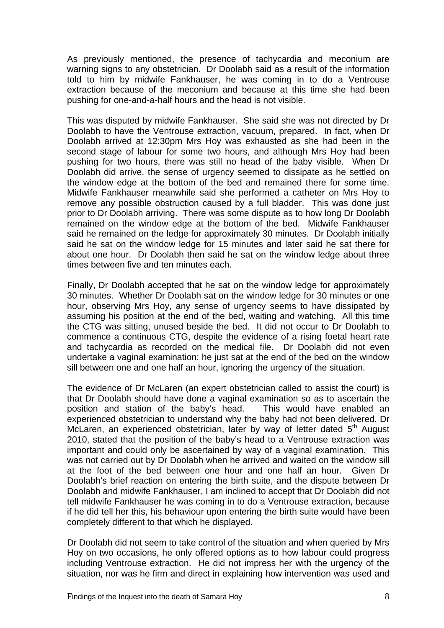As previously mentioned, the presence of tachycardia and meconium are warning signs to any obstetrician. Dr Doolabh said as a result of the information told to him by midwife Fankhauser, he was coming in to do a Ventrouse extraction because of the meconium and because at this time she had been pushing for one-and-a-half hours and the head is not visible.

This was disputed by midwife Fankhauser. She said she was not directed by Dr Doolabh to have the Ventrouse extraction, vacuum, prepared. In fact, when Dr Doolabh arrived at 12:30pm Mrs Hoy was exhausted as she had been in the second stage of labour for some two hours, and although Mrs Hoy had been pushing for two hours, there was still no head of the baby visible. When Dr Doolabh did arrive, the sense of urgency seemed to dissipate as he settled on the window edge at the bottom of the bed and remained there for some time. Midwife Fankhauser meanwhile said she performed a catheter on Mrs Hoy to remove any possible obstruction caused by a full bladder. This was done just prior to Dr Doolabh arriving. There was some dispute as to how long Dr Doolabh remained on the window edge at the bottom of the bed. Midwife Fankhauser said he remained on the ledge for approximately 30 minutes. Dr Doolabh initially said he sat on the window ledge for 15 minutes and later said he sat there for about one hour. Dr Doolabh then said he sat on the window ledge about three times between five and ten minutes each.

Finally, Dr Doolabh accepted that he sat on the window ledge for approximately 30 minutes. Whether Dr Doolabh sat on the window ledge for 30 minutes or one hour, observing Mrs Hoy, any sense of urgency seems to have dissipated by assuming his position at the end of the bed, waiting and watching. All this time the CTG was sitting, unused beside the bed. It did not occur to Dr Doolabh to commence a continuous CTG, despite the evidence of a rising foetal heart rate and tachycardia as recorded on the medical file. Dr Doolabh did not even undertake a vaginal examination; he just sat at the end of the bed on the window sill between one and one half an hour, ignoring the urgency of the situation.

The evidence of Dr McLaren (an expert obstetrician called to assist the court) is that Dr Doolabh should have done a vaginal examination so as to ascertain the position and station of the baby's head. This would have enabled an experienced obstetrician to understand why the baby had not been delivered. Dr McLaren, an experienced obstetrician, later by way of letter dated  $5<sup>th</sup>$  August 2010, stated that the position of the baby's head to a Ventrouse extraction was important and could only be ascertained by way of a vaginal examination. This was not carried out by Dr Doolabh when he arrived and waited on the window sill at the foot of the bed between one hour and one half an hour. Given Dr Doolabh's brief reaction on entering the birth suite, and the dispute between Dr Doolabh and midwife Fankhauser, I am inclined to accept that Dr Doolabh did not tell midwife Fankhauser he was coming in to do a Ventrouse extraction, because if he did tell her this, his behaviour upon entering the birth suite would have been completely different to that which he displayed.

Dr Doolabh did not seem to take control of the situation and when queried by Mrs Hoy on two occasions, he only offered options as to how labour could progress including Ventrouse extraction. He did not impress her with the urgency of the situation, nor was he firm and direct in explaining how intervention was used and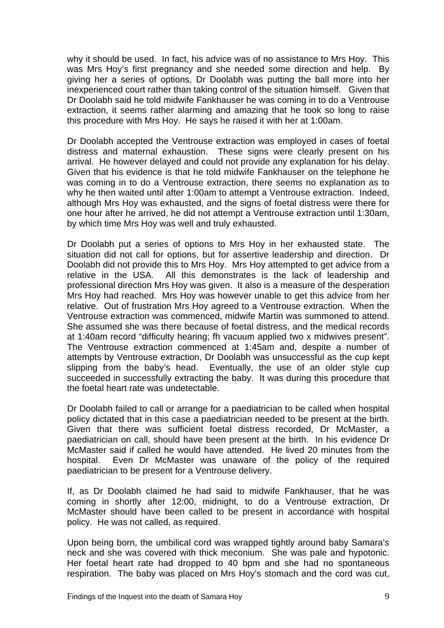why it should be used. In fact, his advice was of no assistance to Mrs Hoy. This was Mrs Hoy's first pregnancy and she needed some direction and help. By giving her a series of options, Dr Doolabh was putting the ball more into her inexperienced court rather than taking control of the situation himself. Given that Dr Doolabh said he told midwife Fankhauser he was coming in to do a Ventrouse extraction, it seems rather alarming and amazing that he took so long to raise this procedure with Mrs Hoy. He says he raised it with her at 1:00am.

Dr Doolabh accepted the Ventrouse extraction was employed in cases of foetal distress and maternal exhaustion. These signs were clearly present on his arrival. He however delayed and could not provide any explanation for his delay. Given that his evidence is that he told midwife Fankhauser on the telephone he was coming in to do a Ventrouse extraction, there seems no explanation as to why he then waited until after 1:00am to attempt a Ventrouse extraction. Indeed, although Mrs Hoy was exhausted, and the signs of foetal distress were there for one hour after he arrived, he did not attempt a Ventrouse extraction until 1:30am, by which time Mrs Hoy was well and truly exhausted.

Dr Doolabh put a series of options to Mrs Hoy in her exhausted state. The situation did not call for options, but for assertive leadership and direction. Dr Doolabh did not provide this to Mrs Hoy. Mrs Hoy attempted to get advice from a relative in the USA. All this demonstrates is the lack of leadership and professional direction Mrs Hoy was given. It also is a measure of the desperation Mrs Hoy had reached. Mrs Hoy was however unable to get this advice from her relative. Out of frustration Mrs Hoy agreed to a Ventrouse extraction. When the Ventrouse extraction was commenced, midwife Martin was summoned to attend. She assumed she was there because of foetal distress, and the medical records at 1:40am record "difficulty hearing; fh vacuum applied two x midwives present". The Ventrouse extraction commenced at 1:45am and, despite a number of attempts by Ventrouse extraction, Dr Doolabh was unsuccessful as the cup kept slipping from the baby's head. Eventually, the use of an older style cup succeeded in successfully extracting the baby. It was during this procedure that the foetal heart rate was undetectable.

Dr Doolabh failed to call or arrange for a paediatrician to be called when hospital policy dictated that in this case a paediatrician needed to be present at the birth. Given that there was sufficient foetal distress recorded, Dr McMaster, a paediatrician on call, should have been present at the birth. In his evidence Dr McMaster said if called he would have attended. He lived 20 minutes from the hospital. Even Dr McMaster was unaware of the policy of the required paediatrician to be present for a Ventrouse delivery.

If, as Dr Doolabh claimed he had said to midwife Fankhauser, that he was coming in shortly after 12:00, midnight, to do a Ventrouse extraction, Dr McMaster should have been called to be present in accordance with hospital policy. He was not called, as required.

Upon being born, the umbilical cord was wrapped tightly around baby Samara's neck and she was covered with thick meconium. She was pale and hypotonic. Her foetal heart rate had dropped to 40 bpm and she had no spontaneous respiration. The baby was placed on Mrs Hoy's stomach and the cord was cut,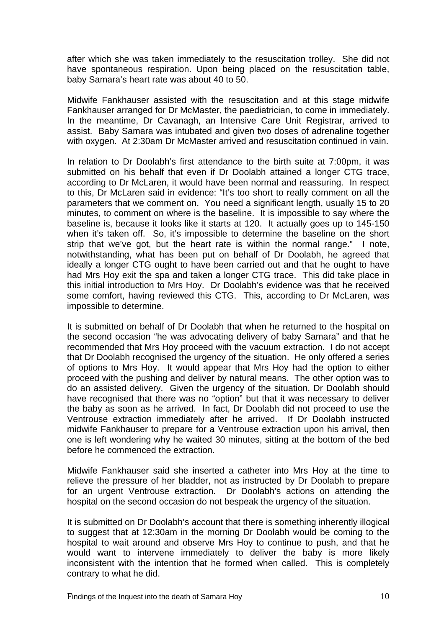after which she was taken immediately to the resuscitation trolley. She did not have spontaneous respiration. Upon being placed on the resuscitation table, baby Samara's heart rate was about 40 to 50.

Midwife Fankhauser assisted with the resuscitation and at this stage midwife Fankhauser arranged for Dr McMaster, the paediatrician, to come in immediately. In the meantime, Dr Cavanagh, an Intensive Care Unit Registrar, arrived to assist. Baby Samara was intubated and given two doses of adrenaline together with oxygen. At 2:30am Dr McMaster arrived and resuscitation continued in vain.

In relation to Dr Doolabh's first attendance to the birth suite at 7:00pm, it was submitted on his behalf that even if Dr Doolabh attained a longer CTG trace, according to Dr McLaren, it would have been normal and reassuring. In respect to this, Dr McLaren said in evidence: "It's too short to really comment on all the parameters that we comment on. You need a significant length, usually 15 to 20 minutes, to comment on where is the baseline. It is impossible to say where the baseline is, because it looks like it starts at 120. It actually goes up to 145-150 when it's taken off. So, it's impossible to determine the baseline on the short strip that we've got, but the heart rate is within the normal range." I note, notwithstanding, what has been put on behalf of Dr Doolabh, he agreed that ideally a longer CTG ought to have been carried out and that he ought to have had Mrs Hoy exit the spa and taken a longer CTG trace. This did take place in this initial introduction to Mrs Hoy. Dr Doolabh's evidence was that he received some comfort, having reviewed this CTG. This, according to Dr McLaren, was impossible to determine.

It is submitted on behalf of Dr Doolabh that when he returned to the hospital on the second occasion "he was advocating delivery of baby Samara" and that he recommended that Mrs Hoy proceed with the vacuum extraction. I do not accept that Dr Doolabh recognised the urgency of the situation. He only offered a series of options to Mrs Hoy. It would appear that Mrs Hoy had the option to either proceed with the pushing and deliver by natural means. The other option was to do an assisted delivery. Given the urgency of the situation, Dr Doolabh should have recognised that there was no "option" but that it was necessary to deliver the baby as soon as he arrived. In fact, Dr Doolabh did not proceed to use the Ventrouse extraction immediately after he arrived. If Dr Doolabh instructed midwife Fankhauser to prepare for a Ventrouse extraction upon his arrival, then one is left wondering why he waited 30 minutes, sitting at the bottom of the bed before he commenced the extraction.

Midwife Fankhauser said she inserted a catheter into Mrs Hoy at the time to relieve the pressure of her bladder, not as instructed by Dr Doolabh to prepare for an urgent Ventrouse extraction. Dr Doolabh's actions on attending the hospital on the second occasion do not bespeak the urgency of the situation.

It is submitted on Dr Doolabh's account that there is something inherently illogical to suggest that at 12:30am in the morning Dr Doolabh would be coming to the hospital to wait around and observe Mrs Hoy to continue to push, and that he would want to intervene immediately to deliver the baby is more likely inconsistent with the intention that he formed when called. This is completely contrary to what he did.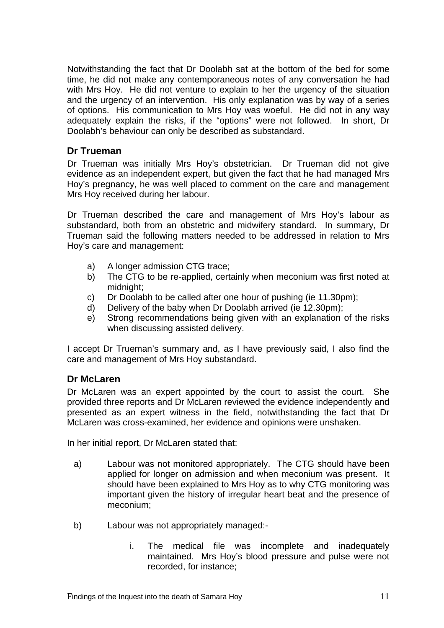Notwithstanding the fact that Dr Doolabh sat at the bottom of the bed for some time, he did not make any contemporaneous notes of any conversation he had with Mrs Hoy. He did not venture to explain to her the urgency of the situation and the urgency of an intervention. His only explanation was by way of a series of options. His communication to Mrs Hoy was woeful. He did not in any way adequately explain the risks, if the "options" were not followed. In short, Dr Doolabh's behaviour can only be described as substandard.

## **Dr Trueman**

Dr Trueman was initially Mrs Hoy's obstetrician. Dr Trueman did not give evidence as an independent expert, but given the fact that he had managed Mrs Hoy's pregnancy, he was well placed to comment on the care and management Mrs Hoy received during her labour.

Dr Trueman described the care and management of Mrs Hoy's labour as substandard, both from an obstetric and midwifery standard. In summary, Dr Trueman said the following matters needed to be addressed in relation to Mrs Hoy's care and management:

- a) A longer admission CTG trace;
- b) The CTG to be re-applied, certainly when meconium was first noted at midnight;
- c) Dr Doolabh to be called after one hour of pushing (ie 11.30pm);
- d) Delivery of the baby when Dr Doolabh arrived (ie 12.30pm);
- e) Strong recommendations being given with an explanation of the risks when discussing assisted delivery.

I accept Dr Trueman's summary and, as I have previously said, I also find the care and management of Mrs Hoy substandard.

## **Dr McLaren**

Dr McLaren was an expert appointed by the court to assist the court. She provided three reports and Dr McLaren reviewed the evidence independently and presented as an expert witness in the field, notwithstanding the fact that Dr McLaren was cross-examined, her evidence and opinions were unshaken.

In her initial report, Dr McLaren stated that:

- a) Labour was not monitored appropriately. The CTG should have been applied for longer on admission and when meconium was present. It should have been explained to Mrs Hoy as to why CTG monitoring was important given the history of irregular heart beat and the presence of meconium;
- b) Labour was not appropriately managed:
	- i. The medical file was incomplete and inadequately maintained. Mrs Hoy's blood pressure and pulse were not recorded, for instance;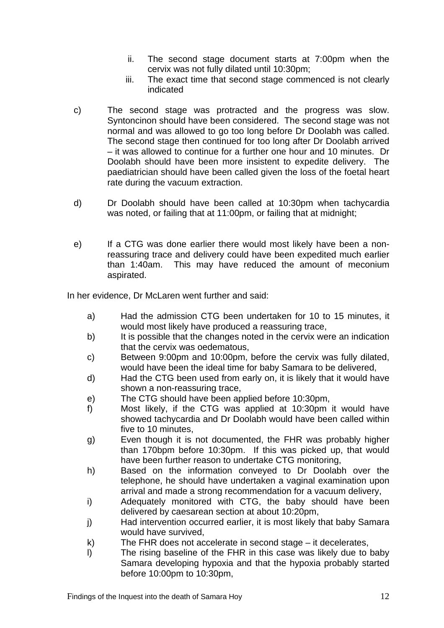- ii. The second stage document starts at 7:00pm when the cervix was not fully dilated until 10:30pm;
- iii. The exact time that second stage commenced is not clearly indicated
- c) The second stage was protracted and the progress was slow. Syntoncinon should have been considered. The second stage was not normal and was allowed to go too long before Dr Doolabh was called. The second stage then continued for too long after Dr Doolabh arrived – it was allowed to continue for a further one hour and 10 minutes. Dr Doolabh should have been more insistent to expedite delivery. The paediatrician should have been called given the loss of the foetal heart rate during the vacuum extraction.
- d) Dr Doolabh should have been called at 10:30pm when tachycardia was noted, or failing that at 11:00pm, or failing that at midnight;
- e) If a CTG was done earlier there would most likely have been a nonreassuring trace and delivery could have been expedited much earlier than 1:40am. This may have reduced the amount of meconium aspirated.

In her evidence, Dr McLaren went further and said:

- a) Had the admission CTG been undertaken for 10 to 15 minutes, it would most likely have produced a reassuring trace,
- b) It is possible that the changes noted in the cervix were an indication that the cervix was oedematous,
- c) Between 9:00pm and 10:00pm, before the cervix was fully dilated, would have been the ideal time for baby Samara to be delivered,
- d) Had the CTG been used from early on, it is likely that it would have shown a non-reassuring trace,
- e) The CTG should have been applied before 10:30pm,
- f) Most likely, if the CTG was applied at 10:30pm it would have showed tachycardia and Dr Doolabh would have been called within five to 10 minutes,
- g) Even though it is not documented, the FHR was probably higher than 170bpm before 10:30pm. If this was picked up, that would have been further reason to undertake CTG monitoring,
- h) Based on the information conveyed to Dr Doolabh over the telephone, he should have undertaken a vaginal examination upon arrival and made a strong recommendation for a vacuum delivery,
- i) Adequately monitored with CTG, the baby should have been delivered by caesarean section at about 10:20pm,
- j) Had intervention occurred earlier, it is most likely that baby Samara would have survived,
- k) The FHR does not accelerate in second stage it decelerates,
- l) The rising baseline of the FHR in this case was likely due to baby Samara developing hypoxia and that the hypoxia probably started before 10:00pm to 10:30pm,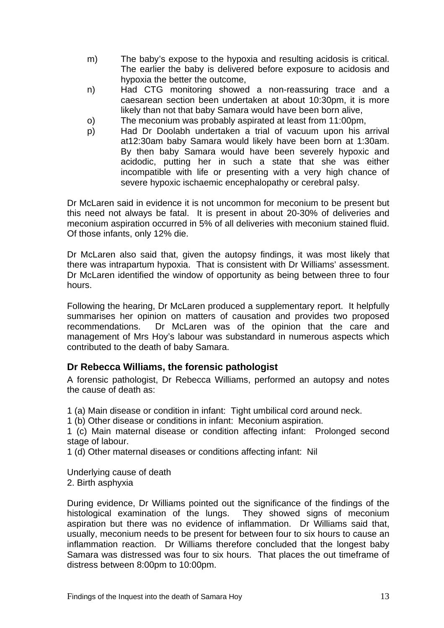- m) The baby's expose to the hypoxia and resulting acidosis is critical. The earlier the baby is delivered before exposure to acidosis and hypoxia the better the outcome,
- n) Had CTG monitoring showed a non-reassuring trace and a caesarean section been undertaken at about 10:30pm, it is more likely than not that baby Samara would have been born alive,
- o) The meconium was probably aspirated at least from 11:00pm,
- p) Had Dr Doolabh undertaken a trial of vacuum upon his arrival at12:30am baby Samara would likely have been born at 1:30am. By then baby Samara would have been severely hypoxic and acidodic, putting her in such a state that she was either incompatible with life or presenting with a very high chance of severe hypoxic ischaemic encephalopathy or cerebral palsy.

Dr McLaren said in evidence it is not uncommon for meconium to be present but this need not always be fatal. It is present in about 20-30% of deliveries and meconium aspiration occurred in 5% of all deliveries with meconium stained fluid. Of those infants, only 12% die.

Dr McLaren also said that, given the autopsy findings, it was most likely that there was intrapartum hypoxia. That is consistent with Dr Williams' assessment. Dr McLaren identified the window of opportunity as being between three to four hours.

Following the hearing, Dr McLaren produced a supplementary report. It helpfully summarises her opinion on matters of causation and provides two proposed recommendations. Dr McLaren was of the opinion that the care and management of Mrs Hoy's labour was substandard in numerous aspects which contributed to the death of baby Samara.

## **Dr Rebecca Williams, the forensic pathologist**

A forensic pathologist, Dr Rebecca Williams, performed an autopsy and notes the cause of death as:

1 (a) Main disease or condition in infant: Tight umbilical cord around neck.

1 (b) Other disease or conditions in infant: Meconium aspiration.

1 (c) Main maternal disease or condition affecting infant: Prolonged second stage of labour.

1 (d) Other maternal diseases or conditions affecting infant: Nil

Underlying cause of death 2. Birth asphyxia

During evidence, Dr Williams pointed out the significance of the findings of the histological examination of the lungs. They showed signs of meconium aspiration but there was no evidence of inflammation. Dr Williams said that, usually, meconium needs to be present for between four to six hours to cause an inflammation reaction. Dr Williams therefore concluded that the longest baby Samara was distressed was four to six hours. That places the out timeframe of distress between 8:00pm to 10:00pm.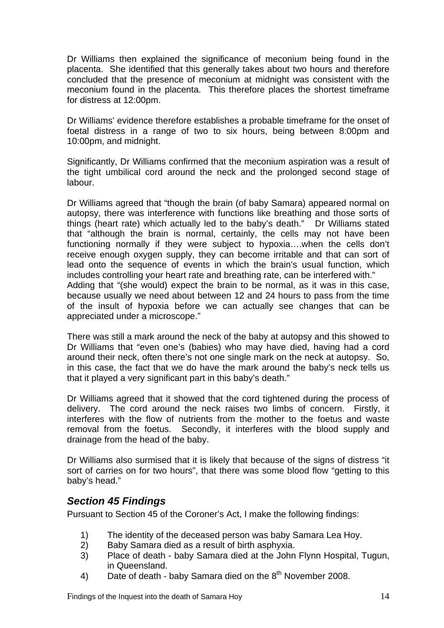Dr Williams then explained the significance of meconium being found in the placenta. She identified that this generally takes about two hours and therefore concluded that the presence of meconium at midnight was consistent with the meconium found in the placenta. This therefore places the shortest timeframe for distress at 12:00pm.

Dr Williams' evidence therefore establishes a probable timeframe for the onset of foetal distress in a range of two to six hours, being between 8:00pm and 10:00pm, and midnight.

Significantly, Dr Williams confirmed that the meconium aspiration was a result of the tight umbilical cord around the neck and the prolonged second stage of labour.

Dr Williams agreed that "though the brain (of baby Samara) appeared normal on autopsy, there was interference with functions like breathing and those sorts of things (heart rate) which actually led to the baby's death." Dr Williams stated that "although the brain is normal, certainly, the cells may not have been functioning normally if they were subject to hypoxia….when the cells don't receive enough oxygen supply, they can become irritable and that can sort of lead onto the sequence of events in which the brain's usual function, which includes controlling your heart rate and breathing rate, can be interfered with." Adding that "(she would) expect the brain to be normal, as it was in this case, because usually we need about between 12 and 24 hours to pass from the time of the insult of hypoxia before we can actually see changes that can be

appreciated under a microscope."

There was still a mark around the neck of the baby at autopsy and this showed to Dr Williams that "even one's (babies) who may have died, having had a cord around their neck, often there's not one single mark on the neck at autopsy. So, in this case, the fact that we do have the mark around the baby's neck tells us that it played a very significant part in this baby's death."

Dr Williams agreed that it showed that the cord tightened during the process of delivery. The cord around the neck raises two limbs of concern. Firstly, it interferes with the flow of nutrients from the mother to the foetus and waste removal from the foetus. Secondly, it interferes with the blood supply and drainage from the head of the baby.

Dr Williams also surmised that it is likely that because of the signs of distress "it sort of carries on for two hours", that there was some blood flow "getting to this baby's head."

## *Section 45 Findings*

Pursuant to Section 45 of the Coroner's Act, I make the following findings:

- 1) The identity of the deceased person was baby Samara Lea Hoy.
- 2) Baby Samara died as a result of birth asphyxia.
- 3) Place of death baby Samara died at the John Flynn Hospital, Tugun, in Queensland.
- 4) Date of death baby Samara died on the  $8<sup>th</sup>$  November 2008.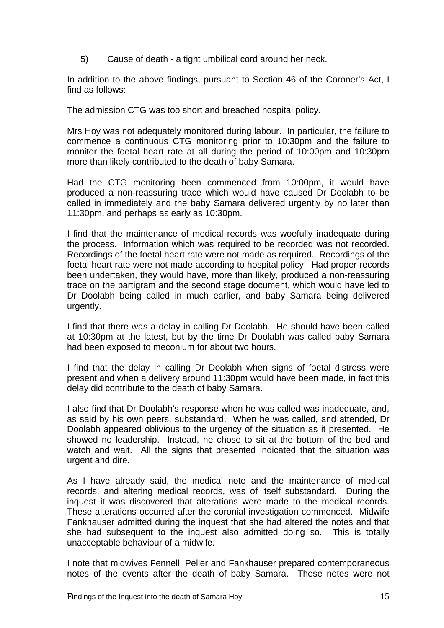5) Cause of death - a tight umbilical cord around her neck.

In addition to the above findings, pursuant to Section 46 of the Coroner's Act, I find as follows:

The admission CTG was too short and breached hospital policy.

Mrs Hoy was not adequately monitored during labour. In particular, the failure to commence a continuous CTG monitoring prior to 10:30pm and the failure to monitor the foetal heart rate at all during the period of 10:00pm and 10:30pm more than likely contributed to the death of baby Samara.

Had the CTG monitoring been commenced from 10:00pm, it would have produced a non-reassuring trace which would have caused Dr Doolabh to be called in immediately and the baby Samara delivered urgently by no later than 11:30pm, and perhaps as early as 10:30pm.

I find that the maintenance of medical records was woefully inadequate during the process. Information which was required to be recorded was not recorded. Recordings of the foetal heart rate were not made as required. Recordings of the foetal heart rate were not made according to hospital policy. Had proper records been undertaken, they would have, more than likely, produced a non-reassuring trace on the partigram and the second stage document, which would have led to Dr Doolabh being called in much earlier, and baby Samara being delivered urgently.

I find that there was a delay in calling Dr Doolabh. He should have been called at 10:30pm at the latest, but by the time Dr Doolabh was called baby Samara had been exposed to meconium for about two hours.

I find that the delay in calling Dr Doolabh when signs of foetal distress were present and when a delivery around 11:30pm would have been made, in fact this delay did contribute to the death of baby Samara.

I also find that Dr Doolabh's response when he was called was inadequate, and, as said by his own peers, substandard. When he was called, and attended, Dr Doolabh appeared oblivious to the urgency of the situation as it presented. He showed no leadership. Instead, he chose to sit at the bottom of the bed and watch and wait. All the signs that presented indicated that the situation was urgent and dire.

As I have already said, the medical note and the maintenance of medical records, and altering medical records, was of itself substandard. During the inquest it was discovered that alterations were made to the medical records. These alterations occurred after the coronial investigation commenced. Midwife Fankhauser admitted during the inquest that she had altered the notes and that she had subsequent to the inquest also admitted doing so. This is totally unacceptable behaviour of a midwife.

I note that midwives Fennell, Peller and Fankhauser prepared contemporaneous notes of the events after the death of baby Samara. These notes were not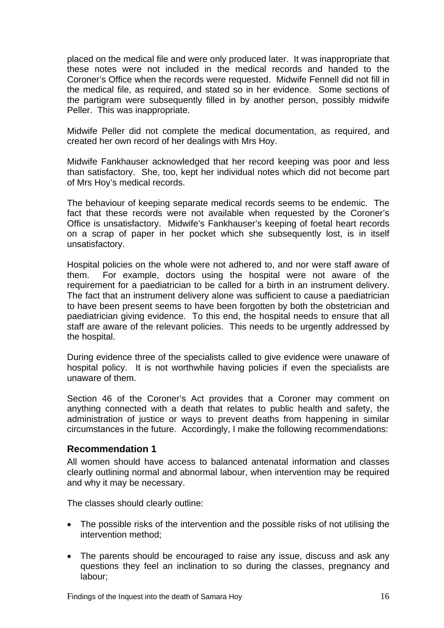placed on the medical file and were only produced later. It was inappropriate that these notes were not included in the medical records and handed to the Coroner's Office when the records were requested. Midwife Fennell did not fill in the medical file, as required, and stated so in her evidence. Some sections of the partigram were subsequently filled in by another person, possibly midwife Peller. This was inappropriate.

Midwife Peller did not complete the medical documentation, as required, and created her own record of her dealings with Mrs Hoy.

Midwife Fankhauser acknowledged that her record keeping was poor and less than satisfactory. She, too, kept her individual notes which did not become part of Mrs Hoy's medical records.

The behaviour of keeping separate medical records seems to be endemic. The fact that these records were not available when requested by the Coroner's Office is unsatisfactory. Midwife's Fankhauser's keeping of foetal heart records on a scrap of paper in her pocket which she subsequently lost, is in itself unsatisfactory.

Hospital policies on the whole were not adhered to, and nor were staff aware of them. For example, doctors using the hospital were not aware of the requirement for a paediatrician to be called for a birth in an instrument delivery. The fact that an instrument delivery alone was sufficient to cause a paediatrician to have been present seems to have been forgotten by both the obstetrician and paediatrician giving evidence. To this end, the hospital needs to ensure that all staff are aware of the relevant policies. This needs to be urgently addressed by the hospital.

During evidence three of the specialists called to give evidence were unaware of hospital policy. It is not worthwhile having policies if even the specialists are unaware of them.

Section 46 of the Coroner's Act provides that a Coroner may comment on anything connected with a death that relates to public health and safety, the administration of justice or ways to prevent deaths from happening in similar circumstances in the future. Accordingly, I make the following recommendations:

#### **Recommendation 1**

All women should have access to balanced antenatal information and classes clearly outlining normal and abnormal labour, when intervention may be required and why it may be necessary.

The classes should clearly outline:

- The possible risks of the intervention and the possible risks of not utilising the intervention method;
- The parents should be encouraged to raise any issue, discuss and ask any questions they feel an inclination to so during the classes, pregnancy and labour;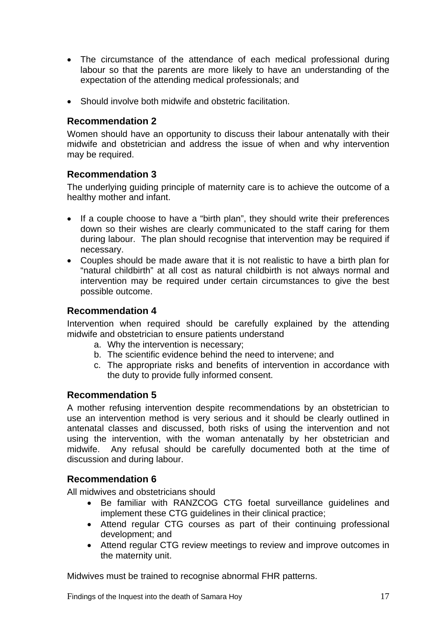- The circumstance of the attendance of each medical professional during labour so that the parents are more likely to have an understanding of the expectation of the attending medical professionals; and
- Should involve both midwife and obstetric facilitation.

Women should have an opportunity to discuss their labour antenatally with their midwife and obstetrician and address the issue of when and why intervention may be required.

#### **Recommendation 3**

The underlying guiding principle of maternity care is to achieve the outcome of a healthy mother and infant.

- If a couple choose to have a "birth plan", they should write their preferences down so their wishes are clearly communicated to the staff caring for them during labour. The plan should recognise that intervention may be required if necessary.
- Couples should be made aware that it is not realistic to have a birth plan for "natural childbirth" at all cost as natural childbirth is not always normal and intervention may be required under certain circumstances to give the best possible outcome.

## **Recommendation 4**

Intervention when required should be carefully explained by the attending midwife and obstetrician to ensure patients understand

- a. Why the intervention is necessary;
- b. The scientific evidence behind the need to intervene; and
- c. The appropriate risks and benefits of intervention in accordance with the duty to provide fully informed consent.

#### **Recommendation 5**

A mother refusing intervention despite recommendations by an obstetrician to use an intervention method is very serious and it should be clearly outlined in antenatal classes and discussed, both risks of using the intervention and not using the intervention, with the woman antenatally by her obstetrician and midwife. Any refusal should be carefully documented both at the time of discussion and during labour.

#### **Recommendation 6**

All midwives and obstetricians should

- Be familiar with RANZCOG CTG foetal surveillance guidelines and implement these CTG guidelines in their clinical practice;
- Attend regular CTG courses as part of their continuing professional development; and
- Attend regular CTG review meetings to review and improve outcomes in the maternity unit.

Midwives must be trained to recognise abnormal FHR patterns.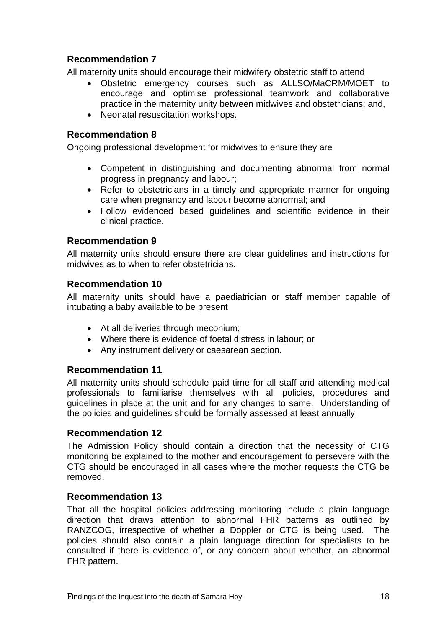All maternity units should encourage their midwifery obstetric staff to attend

- Obstetric emergency courses such as ALLSO/MaCRM/MOET to encourage and optimise professional teamwork and collaborative practice in the maternity unity between midwives and obstetricians; and,
- Neonatal resuscitation workshops.

## **Recommendation 8**

Ongoing professional development for midwives to ensure they are

- Competent in distinguishing and documenting abnormal from normal progress in pregnancy and labour;
- Refer to obstetricians in a timely and appropriate manner for ongoing care when pregnancy and labour become abnormal; and
- Follow evidenced based guidelines and scientific evidence in their clinical practice.

## **Recommendation 9**

All maternity units should ensure there are clear guidelines and instructions for midwives as to when to refer obstetricians.

## **Recommendation 10**

All maternity units should have a paediatrician or staff member capable of intubating a baby available to be present

- At all deliveries through meconium;
- Where there is evidence of foetal distress in labour; or
- Any instrument delivery or caesarean section.

## **Recommendation 11**

All maternity units should schedule paid time for all staff and attending medical professionals to familiarise themselves with all policies, procedures and guidelines in place at the unit and for any changes to same. Understanding of the policies and guidelines should be formally assessed at least annually.

## **Recommendation 12**

The Admission Policy should contain a direction that the necessity of CTG monitoring be explained to the mother and encouragement to persevere with the CTG should be encouraged in all cases where the mother requests the CTG be removed.

## **Recommendation 13**

That all the hospital policies addressing monitoring include a plain language direction that draws attention to abnormal FHR patterns as outlined by RANZCOG, irrespective of whether a Doppler or CTG is being used. The policies should also contain a plain language direction for specialists to be consulted if there is evidence of, or any concern about whether, an abnormal FHR pattern.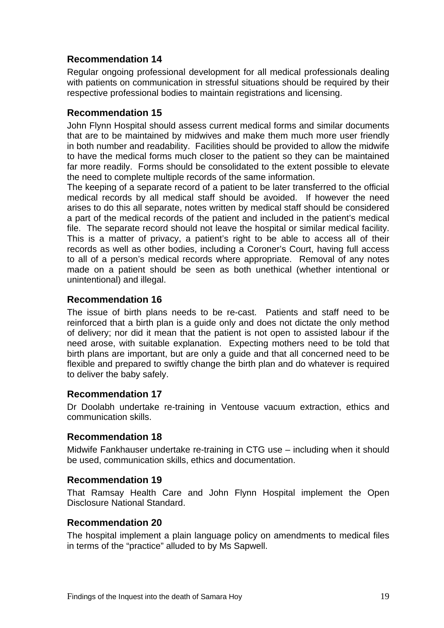Regular ongoing professional development for all medical professionals dealing with patients on communication in stressful situations should be required by their respective professional bodies to maintain registrations and licensing.

## **Recommendation 15**

John Flynn Hospital should assess current medical forms and similar documents that are to be maintained by midwives and make them much more user friendly in both number and readability. Facilities should be provided to allow the midwife to have the medical forms much closer to the patient so they can be maintained far more readily. Forms should be consolidated to the extent possible to elevate the need to complete multiple records of the same information.

The keeping of a separate record of a patient to be later transferred to the official medical records by all medical staff should be avoided. If however the need arises to do this all separate, notes written by medical staff should be considered a part of the medical records of the patient and included in the patient's medical file. The separate record should not leave the hospital or similar medical facility. This is a matter of privacy, a patient's right to be able to access all of their records as well as other bodies, including a Coroner's Court, having full access to all of a person's medical records where appropriate. Removal of any notes made on a patient should be seen as both unethical (whether intentional or unintentional) and illegal.

#### **Recommendation 16**

The issue of birth plans needs to be re-cast. Patients and staff need to be reinforced that a birth plan is a guide only and does not dictate the only method of delivery; nor did it mean that the patient is not open to assisted labour if the need arose, with suitable explanation. Expecting mothers need to be told that birth plans are important, but are only a guide and that all concerned need to be flexible and prepared to swiftly change the birth plan and do whatever is required to deliver the baby safely.

#### **Recommendation 17**

Dr Doolabh undertake re-training in Ventouse vacuum extraction, ethics and communication skills.

#### **Recommendation 18**

Midwife Fankhauser undertake re-training in CTG use – including when it should be used, communication skills, ethics and documentation.

#### **Recommendation 19**

That Ramsay Health Care and John Flynn Hospital implement the Open Disclosure National Standard.

#### **Recommendation 20**

The hospital implement a plain language policy on amendments to medical files in terms of the "practice" alluded to by Ms Sapwell.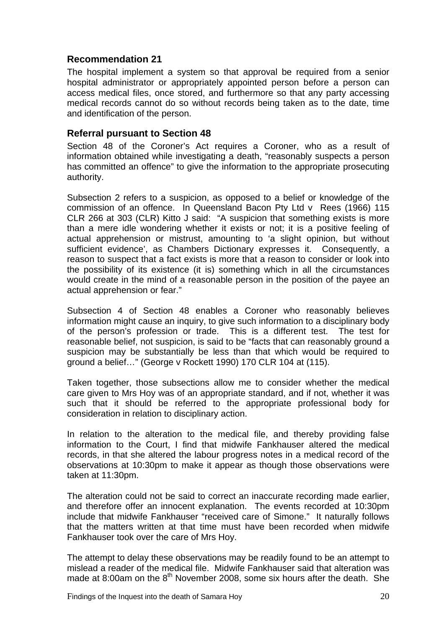The hospital implement a system so that approval be required from a senior hospital administrator or appropriately appointed person before a person can access medical files, once stored, and furthermore so that any party accessing medical records cannot do so without records being taken as to the date, time and identification of the person.

## **Referral pursuant to Section 48**

Section 48 of the Coroner's Act requires a Coroner, who as a result of information obtained while investigating a death, "reasonably suspects a person has committed an offence" to give the information to the appropriate prosecuting authority.

Subsection 2 refers to a suspicion, as opposed to a belief or knowledge of the commission of an offence. In Queensland Bacon Pty Ltd v Rees (1966) 115 CLR 266 at 303 (CLR) Kitto J said: "A suspicion that something exists is more than a mere idle wondering whether it exists or not; it is a positive feeling of actual apprehension or mistrust, amounting to 'a slight opinion, but without sufficient evidence', as Chambers Dictionary expresses it. Consequently, a reason to suspect that a fact exists is more that a reason to consider or look into the possibility of its existence (it is) something which in all the circumstances would create in the mind of a reasonable person in the position of the payee an actual apprehension or fear."

Subsection 4 of Section 48 enables a Coroner who reasonably believes information might cause an inquiry, to give such information to a disciplinary body of the person's profession or trade. This is a different test. The test for reasonable belief, not suspicion, is said to be "facts that can reasonably ground a suspicion may be substantially be less than that which would be required to ground a belief…" (George v Rockett 1990) 170 CLR 104 at (115).

Taken together, those subsections allow me to consider whether the medical care given to Mrs Hoy was of an appropriate standard, and if not, whether it was such that it should be referred to the appropriate professional body for consideration in relation to disciplinary action.

In relation to the alteration to the medical file, and thereby providing false information to the Court, I find that midwife Fankhauser altered the medical records, in that she altered the labour progress notes in a medical record of the observations at 10:30pm to make it appear as though those observations were taken at 11:30pm.

The alteration could not be said to correct an inaccurate recording made earlier, and therefore offer an innocent explanation. The events recorded at 10:30pm include that midwife Fankhauser "received care of Simone." It naturally follows that the matters written at that time must have been recorded when midwife Fankhauser took over the care of Mrs Hoy.

The attempt to delay these observations may be readily found to be an attempt to mislead a reader of the medical file. Midwife Fankhauser said that alteration was made at 8:00am on the  $8<sup>th</sup>$  November 2008, some six hours after the death. She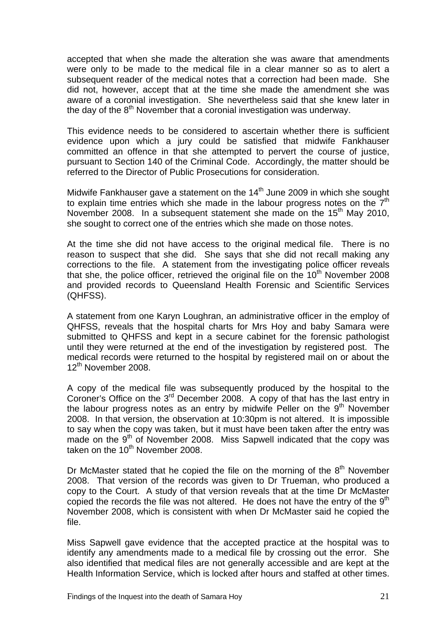accepted that when she made the alteration she was aware that amendments were only to be made to the medical file in a clear manner so as to alert a subsequent reader of the medical notes that a correction had been made. She did not, however, accept that at the time she made the amendment she was aware of a coronial investigation. She nevertheless said that she knew later in the day of the  $8<sup>th</sup>$  November that a coronial investigation was underway.

This evidence needs to be considered to ascertain whether there is sufficient evidence upon which a jury could be satisfied that midwife Fankhauser committed an offence in that she attempted to pervert the course of justice, pursuant to Section 140 of the Criminal Code. Accordingly, the matter should be referred to the Director of Public Prosecutions for consideration.

Midwife Fankhauser gave a statement on the 14<sup>th</sup> June 2009 in which she sought to explain time entries which she made in the labour progress notes on the  $7<sup>th</sup>$ November 2008. In a subsequent statement she made on the 15<sup>th</sup> May 2010, she sought to correct one of the entries which she made on those notes.

At the time she did not have access to the original medical file. There is no reason to suspect that she did. She says that she did not recall making any corrections to the file. A statement from the investigating police officer reveals that she, the police officer, retrieved the original file on the  $10<sup>th</sup>$  November 2008 and provided records to Queensland Health Forensic and Scientific Services (QHFSS).

A statement from one Karyn Loughran, an administrative officer in the employ of QHFSS, reveals that the hospital charts for Mrs Hoy and baby Samara were submitted to QHFSS and kept in a secure cabinet for the forensic pathologist until they were returned at the end of the investigation by registered post. The medical records were returned to the hospital by registered mail on or about the 12<sup>th</sup> November 2008.

A copy of the medical file was subsequently produced by the hospital to the Coroner's Office on the 3<sup>rd</sup> December 2008. A copy of that has the last entry in the labour progress notes as an entry by midwife Peller on the  $9<sup>th</sup>$  November 2008. In that version, the observation at 10:30pm is not altered. It is impossible to say when the copy was taken, but it must have been taken after the entry was made on the 9<sup>th</sup> of November 2008. Miss Sapwell indicated that the copy was taken on the  $10^{th}$  November 2008.

Dr McMaster stated that he copied the file on the morning of the  $8<sup>th</sup>$  November 2008. That version of the records was given to Dr Trueman, who produced a copy to the Court. A study of that version reveals that at the time Dr McMaster copied the records the file was not altered. He does not have the entry of the  $9<sup>th</sup>$ November 2008, which is consistent with when Dr McMaster said he copied the file.

Miss Sapwell gave evidence that the accepted practice at the hospital was to identify any amendments made to a medical file by crossing out the error. She also identified that medical files are not generally accessible and are kept at the Health Information Service, which is locked after hours and staffed at other times.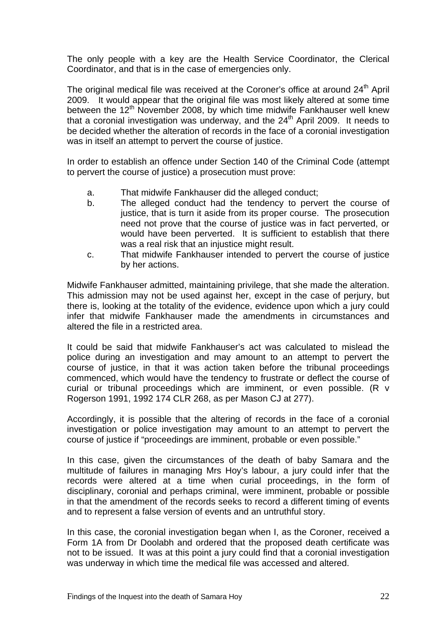The only people with a key are the Health Service Coordinator, the Clerical Coordinator, and that is in the case of emergencies only.

The original medical file was received at the Coroner's office at around 24<sup>th</sup> April 2009. It would appear that the original file was most likely altered at some time between the  $12<sup>th</sup>$  November 2008, by which time midwife Fankhauser well knew that a coronial investigation was underway, and the  $24<sup>th</sup>$  April 2009. It needs to be decided whether the alteration of records in the face of a coronial investigation was in itself an attempt to pervert the course of justice.

In order to establish an offence under Section 140 of the Criminal Code (attempt to pervert the course of justice) a prosecution must prove:

- a. That midwife Fankhauser did the alleged conduct;
- b. The alleged conduct had the tendency to pervert the course of justice, that is turn it aside from its proper course. The prosecution need not prove that the course of justice was in fact perverted, or would have been perverted. It is sufficient to establish that there was a real risk that an injustice might result.
- c. That midwife Fankhauser intended to pervert the course of justice by her actions.

Midwife Fankhauser admitted, maintaining privilege, that she made the alteration. This admission may not be used against her, except in the case of perjury, but there is, looking at the totality of the evidence, evidence upon which a jury could infer that midwife Fankhauser made the amendments in circumstances and altered the file in a restricted area.

It could be said that midwife Fankhauser's act was calculated to mislead the police during an investigation and may amount to an attempt to pervert the course of justice, in that it was action taken before the tribunal proceedings commenced, which would have the tendency to frustrate or deflect the course of curial or tribunal proceedings which are imminent, or even possible. (R v Rogerson 1991, 1992 174 CLR 268, as per Mason CJ at 277).

Accordingly, it is possible that the altering of records in the face of a coronial investigation or police investigation may amount to an attempt to pervert the course of justice if "proceedings are imminent, probable or even possible."

In this case, given the circumstances of the death of baby Samara and the multitude of failures in managing Mrs Hoy's labour, a jury could infer that the records were altered at a time when curial proceedings, in the form of disciplinary, coronial and perhaps criminal, were imminent, probable or possible in that the amendment of the records seeks to record a different timing of events and to represent a false version of events and an untruthful story.

In this case, the coronial investigation began when I, as the Coroner, received a Form 1A from Dr Doolabh and ordered that the proposed death certificate was not to be issued. It was at this point a jury could find that a coronial investigation was underway in which time the medical file was accessed and altered.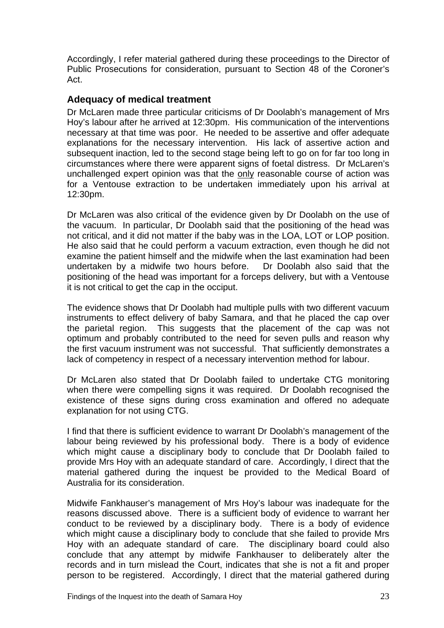Accordingly, I refer material gathered during these proceedings to the Director of Public Prosecutions for consideration, pursuant to Section 48 of the Coroner's Act.

## **Adequacy of medical treatment**

Dr McLaren made three particular criticisms of Dr Doolabh's management of Mrs Hoy's labour after he arrived at 12:30pm. His communication of the interventions necessary at that time was poor. He needed to be assertive and offer adequate explanations for the necessary intervention. His lack of assertive action and subsequent inaction, led to the second stage being left to go on for far too long in circumstances where there were apparent signs of foetal distress. Dr McLaren's unchallenged expert opinion was that the only reasonable course of action was for a Ventouse extraction to be undertaken immediately upon his arrival at 12:30pm.

Dr McLaren was also critical of the evidence given by Dr Doolabh on the use of the vacuum. In particular, Dr Doolabh said that the positioning of the head was not critical, and it did not matter if the baby was in the LOA, LOT or LOP position. He also said that he could perform a vacuum extraction, even though he did not examine the patient himself and the midwife when the last examination had been undertaken by a midwife two hours before. Dr Doolabh also said that the positioning of the head was important for a forceps delivery, but with a Ventouse it is not critical to get the cap in the occiput.

The evidence shows that Dr Doolabh had multiple pulls with two different vacuum instruments to effect delivery of baby Samara, and that he placed the cap over the parietal region. This suggests that the placement of the cap was not optimum and probably contributed to the need for seven pulls and reason why the first vacuum instrument was not successful. That sufficiently demonstrates a lack of competency in respect of a necessary intervention method for labour.

Dr McLaren also stated that Dr Doolabh failed to undertake CTG monitoring when there were compelling signs it was required. Dr Doolabh recognised the existence of these signs during cross examination and offered no adequate explanation for not using CTG.

I find that there is sufficient evidence to warrant Dr Doolabh's management of the labour being reviewed by his professional body. There is a body of evidence which might cause a disciplinary body to conclude that Dr Doolabh failed to provide Mrs Hoy with an adequate standard of care. Accordingly, I direct that the material gathered during the inquest be provided to the Medical Board of Australia for its consideration.

Midwife Fankhauser's management of Mrs Hoy's labour was inadequate for the reasons discussed above. There is a sufficient body of evidence to warrant her conduct to be reviewed by a disciplinary body. There is a body of evidence which might cause a disciplinary body to conclude that she failed to provide Mrs Hoy with an adequate standard of care. The disciplinary board could also conclude that any attempt by midwife Fankhauser to deliberately alter the records and in turn mislead the Court, indicates that she is not a fit and proper person to be registered. Accordingly, I direct that the material gathered during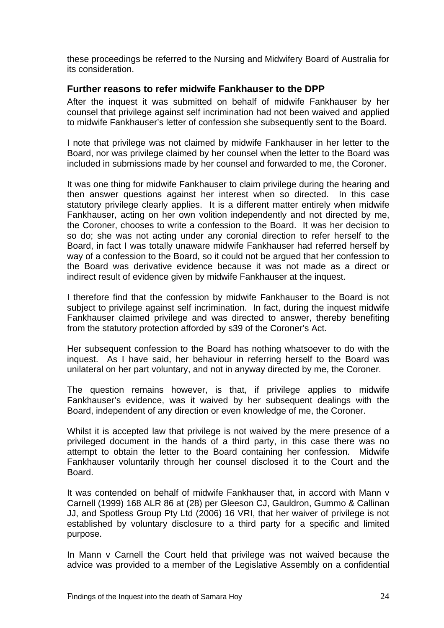these proceedings be referred to the Nursing and Midwifery Board of Australia for its consideration.

## **Further reasons to refer midwife Fankhauser to the DPP**

After the inquest it was submitted on behalf of midwife Fankhauser by her counsel that privilege against self incrimination had not been waived and applied to midwife Fankhauser's letter of confession she subsequently sent to the Board.

I note that privilege was not claimed by midwife Fankhauser in her letter to the Board, nor was privilege claimed by her counsel when the letter to the Board was included in submissions made by her counsel and forwarded to me, the Coroner.

It was one thing for midwife Fankhauser to claim privilege during the hearing and then answer questions against her interest when so directed. In this case statutory privilege clearly applies. It is a different matter entirely when midwife Fankhauser, acting on her own volition independently and not directed by me, the Coroner, chooses to write a confession to the Board. It was her decision to so do; she was not acting under any coronial direction to refer herself to the Board, in fact I was totally unaware midwife Fankhauser had referred herself by way of a confession to the Board, so it could not be argued that her confession to the Board was derivative evidence because it was not made as a direct or indirect result of evidence given by midwife Fankhauser at the inquest.

I therefore find that the confession by midwife Fankhauser to the Board is not subject to privilege against self incrimination. In fact, during the inquest midwife Fankhauser claimed privilege and was directed to answer, thereby benefiting from the statutory protection afforded by s39 of the Coroner's Act.

Her subsequent confession to the Board has nothing whatsoever to do with the inquest. As I have said, her behaviour in referring herself to the Board was unilateral on her part voluntary, and not in anyway directed by me, the Coroner.

The question remains however, is that, if privilege applies to midwife Fankhauser's evidence, was it waived by her subsequent dealings with the Board, independent of any direction or even knowledge of me, the Coroner.

Whilst it is accepted law that privilege is not waived by the mere presence of a privileged document in the hands of a third party, in this case there was no attempt to obtain the letter to the Board containing her confession. Midwife Fankhauser voluntarily through her counsel disclosed it to the Court and the Board.

It was contended on behalf of midwife Fankhauser that, in accord with Mann v Carnell (1999) 168 ALR 86 at (28) per Gleeson CJ, Gauldron, Gummo & Callinan JJ, and Spotless Group Pty Ltd (2006) 16 VRI, that her waiver of privilege is not established by voluntary disclosure to a third party for a specific and limited purpose.

In Mann v Carnell the Court held that privilege was not waived because the advice was provided to a member of the Legislative Assembly on a confidential